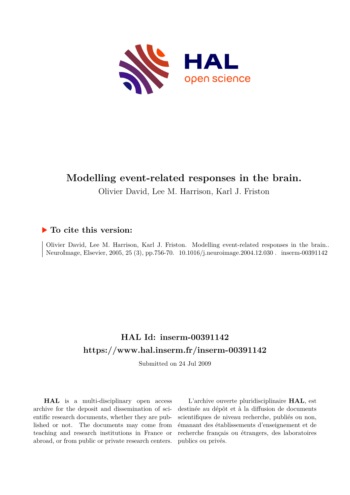

## **Modelling event-related responses in the brain.**

Olivier David, Lee M. Harrison, Karl J. Friston

### **To cite this version:**

Olivier David, Lee M. Harrison, Karl J. Friston. Modelling event-related responses in the brain.. NeuroImage, Elsevier, 2005, 25 (3), pp.756-70. 10.1016/j.neuroimage.2004.12.030. inserm-00391142

## **HAL Id: inserm-00391142 <https://www.hal.inserm.fr/inserm-00391142>**

Submitted on 24 Jul 2009

**HAL** is a multi-disciplinary open access archive for the deposit and dissemination of scientific research documents, whether they are published or not. The documents may come from teaching and research institutions in France or abroad, or from public or private research centers.

L'archive ouverte pluridisciplinaire **HAL**, est destinée au dépôt et à la diffusion de documents scientifiques de niveau recherche, publiés ou non, émanant des établissements d'enseignement et de recherche français ou étrangers, des laboratoires publics ou privés.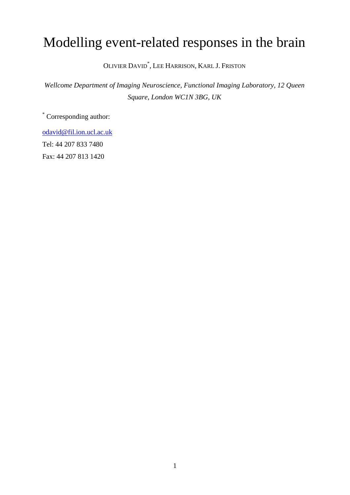# Modelling event-related responses in the brain

OLIVIER DAVID\* , LEE HARRISON, KARL J. FRISTON

*Wellcome Department of Imaging Neuroscience, Functional Imaging Laboratory, 12 Queen Square, London WC1N 3BG, UK* 

\* Corresponding author:

odavid@fil.ion.ucl.ac.uk Tel: 44 207 833 7480 Fax: 44 207 813 1420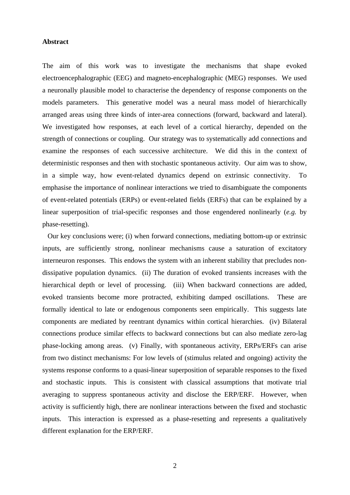#### **Abstract**

The aim of this work was to investigate the mechanisms that shape evoked electroencephalographic (EEG) and magneto-encephalographic (MEG) responses. We used a neuronally plausible model to characterise the dependency of response components on the models parameters. This generative model was a neural mass model of hierarchically arranged areas using three kinds of inter-area connections (forward, backward and lateral). We investigated how responses, at each level of a cortical hierarchy, depended on the strength of connections or coupling. Our strategy was to systematically add connections and examine the responses of each successive architecture. We did this in the context of deterministic responses and then with stochastic spontaneous activity. Our aim was to show, in a simple way, how event-related dynamics depend on extrinsic connectivity. To emphasise the importance of nonlinear interactions we tried to disambiguate the components of event-related potentials (ERPs) or event-related fields (ERFs) that can be explained by a linear superposition of trial-specific responses and those engendered nonlinearly (*e.g.* by phase-resetting).

 Our key conclusions were; (i) when forward connections, mediating bottom-up or extrinsic inputs, are sufficiently strong, nonlinear mechanisms cause a saturation of excitatory interneuron responses. This endows the system with an inherent stability that precludes nondissipative population dynamics. (ii) The duration of evoked transients increases with the hierarchical depth or level of processing. (iii) When backward connections are added, evoked transients become more protracted, exhibiting damped oscillations. These are formally identical to late or endogenous components seen empirically. This suggests late components are mediated by reentrant dynamics within cortical hierarchies. (iv) Bilateral connections produce similar effects to backward connections but can also mediate zero-lag phase-locking among areas. (v) Finally, with spontaneous activity, ERPs/ERFs can arise from two distinct mechanisms: For low levels of (stimulus related and ongoing) activity the systems response conforms to a quasi-linear superposition of separable responses to the fixed and stochastic inputs. This is consistent with classical assumptions that motivate trial averaging to suppress spontaneous activity and disclose the ERP/ERF. However, when activity is sufficiently high, there are nonlinear interactions between the fixed and stochastic inputs. This interaction is expressed as a phase-resetting and represents a qualitatively different explanation for the ERP/ERF.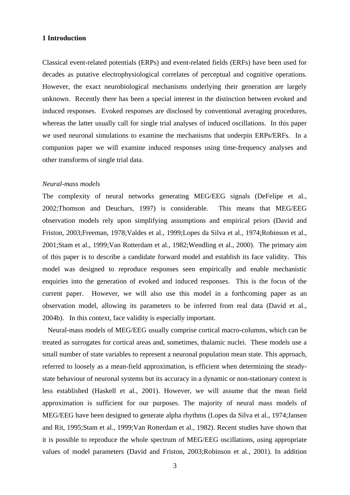#### **1 Introduction**

Classical event-related potentials (ERPs) and event-related fields (ERFs) have been used for decades as putative electrophysiological correlates of perceptual and cognitive operations. However, the exact neurobiological mechanisms underlying their generation are largely unknown. Recently there has been a special interest in the distinction between evoked and induced responses. Evoked responses are disclosed by conventional averaging procedures, whereas the latter usually call for single trial analyses of induced oscillations. In this paper we used neuronal simulations to examine the mechanisms that underpin ERPs/ERFs. In a companion paper we will examine induced responses using time-frequency analyses and other transforms of single trial data.

#### *Neural-mass models*

The complexity of neural networks generating MEG/EEG signals (DeFelipe et al., 2002;Thomson and Deuchars, 1997) is considerable. This means that MEG/EEG observation models rely upon simplifying assumptions and empirical priors (David and Friston, 2003;Freeman, 1978;Valdes et al., 1999;Lopes da Silva et al., 1974;Robinson et al., 2001;Stam et al., 1999;Van Rotterdam et al., 1982;Wendling et al., 2000). The primary aim of this paper is to describe a candidate forward model and establish its face validity. This model was designed to reproduce responses seen empirically and enable mechanistic enquiries into the generation of evoked and induced responses. This is the focus of the current paper. However, we will also use this model in a forthcoming paper as an observation model, allowing its parameters to be inferred from real data (David et al., 2004b). In this context, face validity is especially important.

 Neural-mass models of MEG/EEG usually comprise cortical macro-columns, which can be treated as surrogates for cortical areas and, sometimes, thalamic nuclei. These models use a small number of state variables to represent a neuronal population mean state. This approach, referred to loosely as a mean-field approximation, is efficient when determining the steadystate behaviour of neuronal systems but its accuracy in a dynamic or non-stationary context is less established (Haskell et al., 2001). However, we will assume that the mean field approximation is sufficient for our purposes. The majority of neural mass models of MEG/EEG have been designed to generate alpha rhythms (Lopes da Silva et al., 1974;Jansen and Rit, 1995;Stam et al., 1999;Van Rotterdam et al., 1982). Recent studies have shown that it is possible to reproduce the whole spectrum of MEG/EEG oscillations, using appropriate values of model parameters (David and Friston, 2003;Robinson et al., 2001). In addition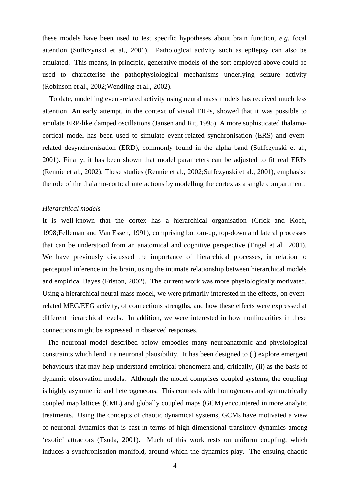these models have been used to test specific hypotheses about brain function, *e.g*. focal attention (Suffczynski et al., 2001). Pathological activity such as epilepsy can also be emulated. This means, in principle, generative models of the sort employed above could be used to characterise the pathophysiological mechanisms underlying seizure activity (Robinson et al., 2002;Wendling et al., 2002).

 To date, modelling event-related activity using neural mass models has received much less attention. An early attempt, in the context of visual ERPs, showed that it was possible to emulate ERP-like damped oscillations (Jansen and Rit, 1995). A more sophisticated thalamocortical model has been used to simulate event-related synchronisation (ERS) and eventrelated desynchronisation (ERD), commonly found in the alpha band (Suffczynski et al., 2001). Finally, it has been shown that model parameters can be adjusted to fit real ERPs (Rennie et al., 2002). These studies (Rennie et al., 2002;Suffczynski et al., 2001), emphasise the role of the thalamo-cortical interactions by modelling the cortex as a single compartment.

#### *Hierarchical models*

It is well-known that the cortex has a hierarchical organisation (Crick and Koch, 1998;Felleman and Van Essen, 1991), comprising bottom-up, top-down and lateral processes that can be understood from an anatomical and cognitive perspective (Engel et al., 2001). We have previously discussed the importance of hierarchical processes, in relation to perceptual inference in the brain, using the intimate relationship between hierarchical models and empirical Bayes (Friston, 2002). The current work was more physiologically motivated. Using a hierarchical neural mass model, we were primarily interested in the effects, on eventrelated MEG/EEG activity, of connections strengths, and how these effects were expressed at different hierarchical levels. In addition, we were interested in how nonlinearities in these connections might be expressed in observed responses.

 The neuronal model described below embodies many neuroanatomic and physiological constraints which lend it a neuronal plausibility. It has been designed to (i) explore emergent behaviours that may help understand empirical phenomena and, critically, (ii) as the basis of dynamic observation models. Although the model comprises coupled systems, the coupling is highly asymmetric and heterogeneous. This contrasts with homogenous and symmetrically coupled map lattices (CML) and globally coupled maps (GCM) encountered in more analytic treatments. Using the concepts of chaotic dynamical systems, GCMs have motivated a view of neuronal dynamics that is cast in terms of high-dimensional transitory dynamics among 'exotic' attractors (Tsuda, 2001). Much of this work rests on uniform coupling, which induces a synchronisation manifold, around which the dynamics play. The ensuing chaotic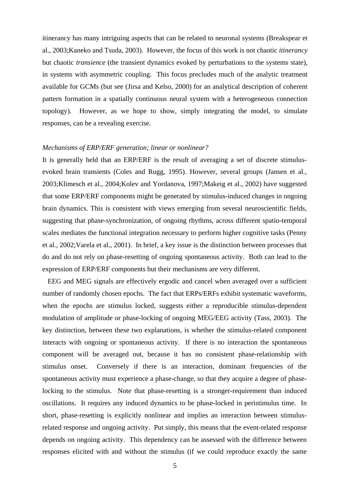itinerancy has many intriguing aspects that can be related to neuronal systems (Breakspear et al., 2003;Kaneko and Tsuda, 2003). However, the focus of this work is not chaotic *itinerancy* but chaotic *transience* (the transient dynamics evoked by perturbations to the systems state), in systems with asymmetric coupling. This focus precludes much of the analytic treatment available for GCMs (but see (Jirsa and Kelso, 2000) for an analytical description of coherent pattern formation in a spatially continuous neural system with a heterogeneous connection topology). However, as we hope to show, simply integrating the model, to simulate responses, can be a revealing exercise.

#### *Mechanisms of ERP/ERF generation; linear or nonlinear?*

It is generally held that an ERP/ERF is the result of averaging a set of discrete stimulusevoked brain transients (Coles and Rugg, 1995). However, several groups (Jansen et al., 2003;Klimesch et al., 2004;Kolev and Yordanova, 1997;Makeig et al., 2002) have suggested that some ERP/ERF components might be generated by stimulus-induced changes in ongoing brain dynamics. This is consistent with views emerging from several neuroscientific fields, suggesting that phase-synchronization, of ongoing rhythms, across different spatio-temporal scales mediates the functional integration necessary to perform higher cognitive tasks (Penny et al., 2002;Varela et al., 2001). In brief, a key issue is the distinction between processes that do and do not rely on phase-resetting of ongoing spontaneous activity. Both can lead to the expression of ERP/ERF components but their mechanisms are very different.

 EEG and MEG signals are effectively ergodic and cancel when averaged over a sufficient number of randomly chosen epochs. The fact that ERPs/ERFs exhibit systematic waveforms, when the epochs are stimulus locked, suggests either a reproducible stimulus-dependent modulation of amplitude or phase-locking of ongoing MEG/EEG activity (Tass, 2003). The key distinction, between these two explanations, is whether the stimulus-related component interacts with ongoing or spontaneous activity. If there is no interaction the spontaneous component will be averaged out, because it has no consistent phase-relationship with stimulus onset. Conversely if there is an interaction, dominant frequencies of the spontaneous activity must experience a phase-change, so that they acquire a degree of phaselocking to the stimulus. Note that phase-resetting is a stronger-requirement than induced oscillations. It requires any induced dynamics to be phase-locked in peristimulus time. In short, phase-resetting is explicitly nonlinear and implies an interaction between stimulusrelated response and ongoing activity. Put simply, this means that the event-related response depends on ongoing activity. This dependency can be assessed with the difference between responses elicited with and without the stimulus (if we could reproduce exactly the same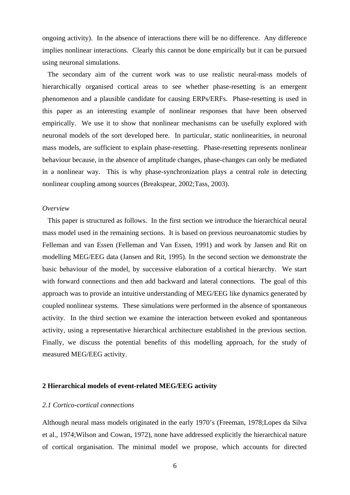ongoing activity). In the absence of interactions there will be no difference. Any difference implies nonlinear interactions. Clearly this cannot be done empirically but it can be pursued using neuronal simulations.

 The secondary aim of the current work was to use realistic neural-mass models of hierarchically organised cortical areas to see whether phase-resetting is an emergent phenomenon and a plausible candidate for causing ERPs/ERFs. Phase-resetting is used in this paper as an interesting example of nonlinear responses that have been observed empirically. We use it to show that nonlinear mechanisms can be usefully explored with neuronal models of the sort developed here. In particular, static nonlinearities, in neuronal mass models, are sufficient to explain phase-resetting. Phase-resetting represents nonlinear behaviour because, in the absence of amplitude changes, phase-changes can only be mediated in a nonlinear way. This is why phase-synchronization plays a central role in detecting nonlinear coupling among sources (Breakspear, 2002;Tass, 2003).

#### *Overview*

 This paper is structured as follows. In the first section we introduce the hierarchical neural mass model used in the remaining sections. It is based on previous neuroanatomic studies by Felleman and van Essen (Felleman and Van Essen, 1991) and work by Jansen and Rit on modelling MEG/EEG data (Jansen and Rit, 1995). In the second section we demonstrate the basic behaviour of the model, by successive elaboration of a cortical hierarchy. We start with forward connections and then add backward and lateral connections. The goal of this approach was to provide an intuitive understanding of MEG/EEG like dynamics generated by coupled nonlinear systems. These simulations were performed in the absence of spontaneous activity. In the third section we examine the interaction between evoked and spontaneous activity, using a representative hierarchical architecture established in the previous section. Finally, we discuss the potential benefits of this modelling approach, for the study of measured MEG/EEG activity.

#### **2 Hierarchical models of event-related MEG/EEG activity**

#### *2.1 Cortico-cortical connections*

Although neural mass models originated in the early 1970's (Freeman, 1978;Lopes da Silva et al., 1974;Wilson and Cowan, 1972), none have addressed explicitly the hierarchical nature of cortical organisation. The minimal model we propose, which accounts for directed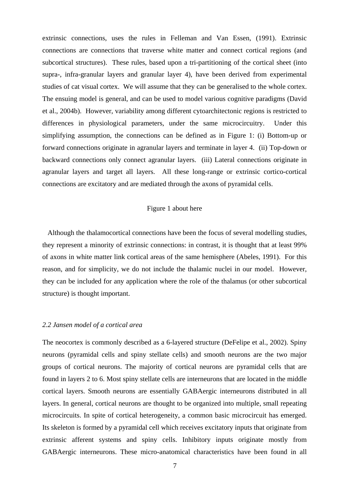extrinsic connections, uses the rules in Felleman and Van Essen, (1991). Extrinsic connections are connections that traverse white matter and connect cortical regions (and subcortical structures). These rules, based upon a tri-partitioning of the cortical sheet (into supra-, infra-granular layers and granular layer 4), have been derived from experimental studies of cat visual cortex. We will assume that they can be generalised to the whole cortex. The ensuing model is general, and can be used to model various cognitive paradigms (David et al., 2004b). However, variability among different cytoarchitectonic regions is restricted to differences in physiological parameters, under the same microcircuitry. Under this simplifying assumption, the connections can be defined as in Figure 1: (i) Bottom-up or forward connections originate in agranular layers and terminate in layer 4. (ii) Top-down or backward connections only connect agranular layers. (iii) Lateral connections originate in agranular layers and target all layers. All these long-range or extrinsic cortico-cortical connections are excitatory and are mediated through the axons of pyramidal cells.

#### Figure 1 about here

 Although the thalamocortical connections have been the focus of several modelling studies, they represent a minority of extrinsic connections: in contrast, it is thought that at least 99% of axons in white matter link cortical areas of the same hemisphere (Abeles, 1991). For this reason, and for simplicity, we do not include the thalamic nuclei in our model. However, they can be included for any application where the role of the thalamus (or other subcortical structure) is thought important.

#### *2.2 Jansen model of a cortical area*

The neocortex is commonly described as a 6-layered structure (DeFelipe et al., 2002). Spiny neurons (pyramidal cells and spiny stellate cells) and smooth neurons are the two major groups of cortical neurons. The majority of cortical neurons are pyramidal cells that are found in layers 2 to 6. Most spiny stellate cells are interneurons that are located in the middle cortical layers. Smooth neurons are essentially GABAergic interneurons distributed in all layers. In general, cortical neurons are thought to be organized into multiple, small repeating microcircuits. In spite of cortical heterogeneity, a common basic microcircuit has emerged. Its skeleton is formed by a pyramidal cell which receives excitatory inputs that originate from extrinsic afferent systems and spiny cells. Inhibitory inputs originate mostly from GABAergic interneurons. These micro-anatomical characteristics have been found in all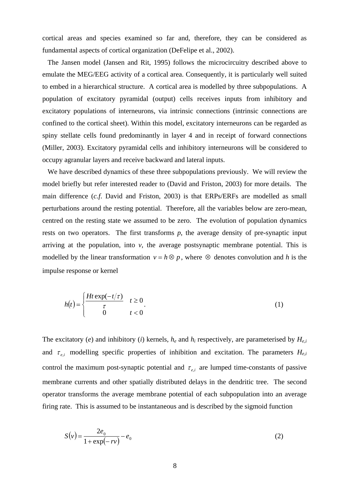cortical areas and species examined so far and, therefore, they can be considered as fundamental aspects of cortical organization (DeFelipe et al., 2002).

 The Jansen model (Jansen and Rit, 1995) follows the microcircuitry described above to emulate the MEG/EEG activity of a cortical area. Consequently, it is particularly well suited to embed in a hierarchical structure. A cortical area is modelled by three subpopulations. A population of excitatory pyramidal (output) cells receives inputs from inhibitory and excitatory populations of interneurons, via intrinsic connections (intrinsic connections are confined to the cortical sheet). Within this model, excitatory interneurons can be regarded as spiny stellate cells found predominantly in layer 4 and in receipt of forward connections (Miller, 2003). Excitatory pyramidal cells and inhibitory interneurons will be considered to occupy agranular layers and receive backward and lateral inputs.

 We have described dynamics of these three subpopulations previously. We will review the model briefly but refer interested reader to (David and Friston, 2003) for more details. The main difference (*c.f*. David and Friston, 2003) is that ERPs/ERFs are modelled as small perturbations around the resting potential. Therefore, all the variables below are zero-mean, centred on the resting state we assumed to be zero. The evolution of population dynamics rests on two operators. The first transforms *p*, the average density of pre-synaptic input arriving at the population, into *v*, the average postsynaptic membrane potential. This is modelled by the linear transformation  $v = h \otimes p$ , where  $\otimes$  denotes convolution and *h* is the impulse response or kernel

$$
h(t) = \begin{cases} \frac{Ht \exp(-t/\tau)}{\tau} & t \ge 0\\ 0 & t < 0 \end{cases} \tag{1}
$$

The excitatory (*e*) and inhibitory (*i*) kernels, *he* and *hi* respectively, are parameterised by *He,i* and  $\tau_{e,i}$  modelling specific properties of inhibition and excitation. The parameters  $H_{e,i}$ control the maximum post-synaptic potential and  $\tau_{e,i}$  are lumped time-constants of passive membrane currents and other spatially distributed delays in the dendritic tree. The second operator transforms the average membrane potential of each subpopulation into an average firing rate. This is assumed to be instantaneous and is described by the sigmoid function

$$
S(v) = \frac{2e_0}{1 + \exp(-rv)} - e_0
$$
 (2)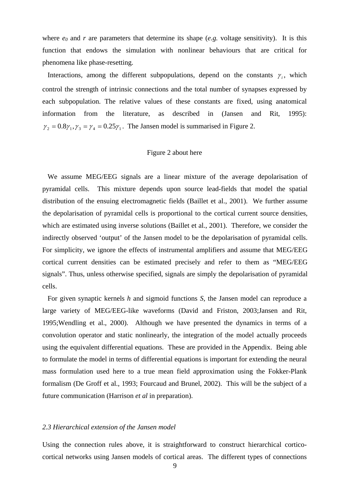where  $e_0$  and  $r$  are parameters that determine its shape ( $e.g.$  voltage sensitivity). It is this function that endows the simulation with nonlinear behaviours that are critical for phenomena like phase-resetting.

Interactions, among the different subpopulations, depend on the constants  $\gamma_i$ , which control the strength of intrinsic connections and the total number of synapses expressed by each subpopulation. The relative values of these constants are fixed, using anatomical information from the literature, as described in (Jansen and Rit, 1995):  $\gamma_2 = 0.8 \gamma_1, \gamma_3 = \gamma_4 = 0.25 \gamma_1$ . The Jansen model is summarised in Figure 2.

#### Figure 2 about here

 We assume MEG/EEG signals are a linear mixture of the average depolarisation of pyramidal cells. This mixture depends upon source lead-fields that model the spatial distribution of the ensuing electromagnetic fields (Baillet et al., 2001). We further assume the depolarisation of pyramidal cells is proportional to the cortical current source densities, which are estimated using inverse solutions (Baillet et al., 2001). Therefore, we consider the indirectly observed 'output' of the Jansen model to be the depolarisation of pyramidal cells. For simplicity, we ignore the effects of instrumental amplifiers and assume that MEG/EEG cortical current densities can be estimated precisely and refer to them as "MEG/EEG signals". Thus, unless otherwise specified, signals are simply the depolarisation of pyramidal cells.

 For given synaptic kernels *h* and sigmoid functions *S*, the Jansen model can reproduce a large variety of MEG/EEG-like waveforms (David and Friston, 2003;Jansen and Rit, 1995;Wendling et al., 2000). Although we have presented the dynamics in terms of a convolution operator and static nonlinearly, the integration of the model actually proceeds using the equivalent differential equations. These are provided in the Appendix. Being able to formulate the model in terms of differential equations is important for extending the neural mass formulation used here to a true mean field approximation using the Fokker-Plank formalism (De Groff et al., 1993; Fourcaud and Brunel, 2002). This will be the subject of a future communication (Harrison *et al* in preparation).

#### *2.3 Hierarchical extension of the Jansen model*

Using the connection rules above, it is straightforward to construct hierarchical corticocortical networks using Jansen models of cortical areas. The different types of connections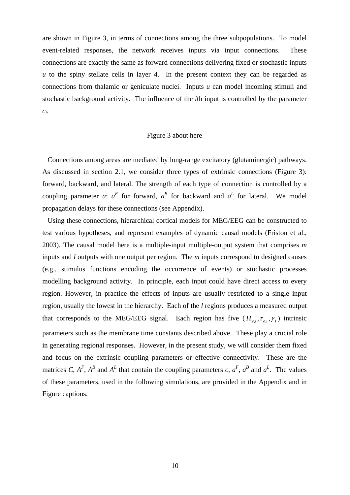are shown in Figure 3, in terms of connections among the three subpopulations. To model event-related responses, the network receives inputs via input connections. These connections are exactly the same as forward connections delivering fixed or stochastic inputs  *to the spiny stellate cells in layer 4. In the present context they can be regarded as* connections from thalamic or geniculate nuclei. Inputs *u* can model incoming stimuli and stochastic background activity. The influence of the *i*th input is controlled by the parameter *ci*.

#### Figure 3 about here

 Connections among areas are mediated by long-range excitatory (glutaminergic) pathways. As discussed in section 2.1, we consider three types of extrinsic connections (Figure 3): forward, backward, and lateral. The strength of each type of connection is controlled by a coupling parameter *a*:  $a^F$  for forward,  $a^B$  for backward and  $a^L$  for lateral. We model propagation delays for these connections (see Appendix).

 Using these connections, hierarchical cortical models for MEG/EEG can be constructed to test various hypotheses, and represent examples of dynamic causal models (Friston et al., 2003). The causal model here is a multiple-input multiple-output system that comprises *m* inputs and *l* outputs with one output per region. The *m* inputs correspond to designed causes (e.g., stimulus functions encoding the occurrence of events) or stochastic processes modelling background activity. In principle, each input could have direct access to every region. However, in practice the effects of inputs are usually restricted to a single input region, usually the lowest in the hierarchy. Each of the *l* regions produces a measured output that corresponds to the MEG/EEG signal. Each region has five  $(H_e, \tau_e, \gamma_1)$  intrinsic parameters such as the membrane time constants described above. These play a crucial role in generating regional responses. However, in the present study, we will consider them fixed and focus on the extrinsic coupling parameters or effective connectivity. These are the matrices *C*,  $A^F$ ,  $A^B$  and  $A^L$  that contain the coupling parameters *c*,  $a^F$ ,  $a^B$  and  $a^L$ . The values of these parameters, used in the following simulations, are provided in the Appendix and in Figure captions.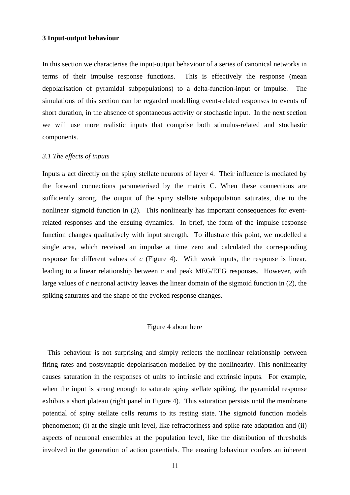#### **3 Input-output behaviour**

In this section we characterise the input-output behaviour of a series of canonical networks in terms of their impulse response functions. This is effectively the response (mean depolarisation of pyramidal subpopulations) to a delta-function-input or impulse. The simulations of this section can be regarded modelling event-related responses to events of short duration, in the absence of spontaneous activity or stochastic input. In the next section we will use more realistic inputs that comprise both stimulus-related and stochastic components.

#### *3.1 The effects of inputs*

Inputs *u* act directly on the spiny stellate neurons of layer 4. Their influence is mediated by the forward connections parameterised by the matrix C. When these connections are sufficiently strong, the output of the spiny stellate subpopulation saturates, due to the nonlinear sigmoid function in (2). This nonlinearly has important consequences for eventrelated responses and the ensuing dynamics. In brief, the form of the impulse response function changes qualitatively with input strength. To illustrate this point, we modelled a single area, which received an impulse at time zero and calculated the corresponding response for different values of *c* (Figure 4). With weak inputs, the response is linear, leading to a linear relationship between *c* and peak MEG/EEG responses. However, with large values of *c* neuronal activity leaves the linear domain of the sigmoid function in (2), the spiking saturates and the shape of the evoked response changes.

#### Figure 4 about here

 This behaviour is not surprising and simply reflects the nonlinear relationship between firing rates and postsynaptic depolarisation modelled by the nonlinearity. This nonlinearity causes saturation in the responses of units to intrinsic and extrinsic inputs. For example, when the input is strong enough to saturate spiny stellate spiking, the pyramidal response exhibits a short plateau (right panel in Figure 4). This saturation persists until the membrane potential of spiny stellate cells returns to its resting state. The sigmoid function models phenomenon; (i) at the single unit level, like refractoriness and spike rate adaptation and (ii) aspects of neuronal ensembles at the population level, like the distribution of thresholds involved in the generation of action potentials. The ensuing behaviour confers an inherent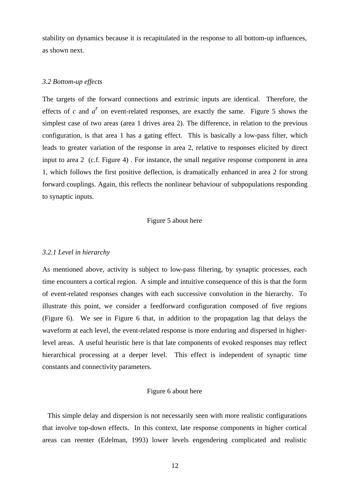stability on dynamics because it is recapitulated in the response to all bottom-up influences, as shown next.

#### *3.2 Bottom-up effects*

The targets of the forward connections and extrinsic inputs are identical. Therefore, the effects of *c* and  $a<sup>F</sup>$  on event-related responses, are exactly the same. Figure 5 shows the simplest case of two areas (area 1 drives area 2). The difference, in relation to the previous configuration, is that area 1 has a gating effect. This is basically a low-pass filter, which leads to greater variation of the response in area 2, relative to responses elicited by direct input to area 2 (c.f. Figure 4) . For instance, the small negative response component in area 1, which follows the first positive deflection, is dramatically enhanced in area 2 for strong forward couplings. Again, this reflects the nonlinear behaviour of subpopulations responding to synaptic inputs.

#### Figure 5 about here

#### *3.2.1 Level in hierarchy*

As mentioned above, activity is subject to low-pass filtering, by synaptic processes, each time encounters a cortical region. A simple and intuitive consequence of this is that the form of event-related responses changes with each successive convolution in the hierarchy. To illustrate this point, we consider a feedforward configuration composed of five regions (Figure 6). We see in Figure 6 that, in addition to the propagation lag that delays the waveform at each level, the event-related response is more enduring and dispersed in higherlevel areas. A useful heuristic here is that late components of evoked responses may reflect hierarchical processing at a deeper level. This effect is independent of synaptic time constants and connectivity parameters.

#### Figure 6 about here

 This simple delay and dispersion is not necessarily seen with more realistic configurations that involve top-down effects. In this context, late response components in higher cortical areas can reenter (Edelman, 1993) lower levels engendering complicated and realistic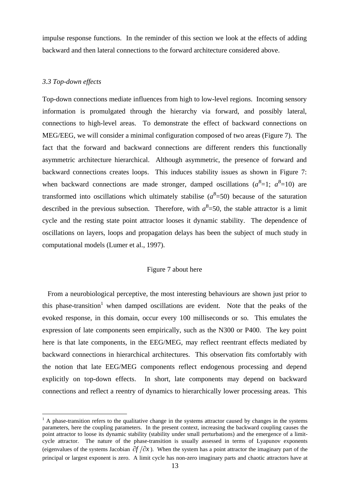impulse response functions. In the reminder of this section we look at the effects of adding backward and then lateral connections to the forward architecture considered above.

#### *3.3 Top-down effects*

1

Top-down connections mediate influences from high to low-level regions. Incoming sensory information is promulgated through the hierarchy via forward, and possibly lateral, connections to high-level areas. To demonstrate the effect of backward connections on MEG/EEG, we will consider a minimal configuration composed of two areas (Figure 7). The fact that the forward and backward connections are different renders this functionally asymmetric architecture hierarchical. Although asymmetric, the presence of forward and backward connections creates loops. This induces stability issues as shown in Figure 7: when backward connections are made stronger, damped oscillations  $(a^B=1; a^B=10)$  are transformed into oscillations which ultimately stabilise  $(a^B = 50)$  because of the saturation described in the previous subsection. Therefore, with  $a^B = 50$ , the stable attractor is a limit cycle and the resting state point attractor looses it dynamic stability. The dependence of oscillations on layers, loops and propagation delays has been the subject of much study in computational models (Lumer et al., 1997).

#### Figure 7 about here

 From a neurobiological perceptive, the most interesting behaviours are shown just prior to this phase-transition<sup>1</sup> when damped oscillations are evident. Note that the peaks of the evoked response, in this domain, occur every 100 milliseconds or so. This emulates the expression of late components seen empirically, such as the N300 or P400. The key point here is that late components, in the EEG/MEG, may reflect reentrant effects mediated by backward connections in hierarchical architectures. This observation fits comfortably with the notion that late EEG/MEG components reflect endogenous processing and depend explicitly on top-down effects. In short, late components may depend on backward connections and reflect a reentry of dynamics to hierarchically lower processing areas. This

 $<sup>1</sup>$  A phase-transition refers to the qualitative change in the systems attractor caused by changes in the systems</sup> parameters, here the coupling parameters. In the present context, increasing the backward coupling causes the point attractor to loose its dynamic stability (stability under small perturbations) and the emergence of a limitcycle attractor. The nature of the phase-transition is usually assessed in terms of Lyapunov exponents (eigenvalues of the systems Jacobian  $\partial f / \partial x$ ). When the system has a point attractor the imaginary part of the principal or largest exponent is zero. A limit cycle has non-zero imaginary parts and chaotic attractors have at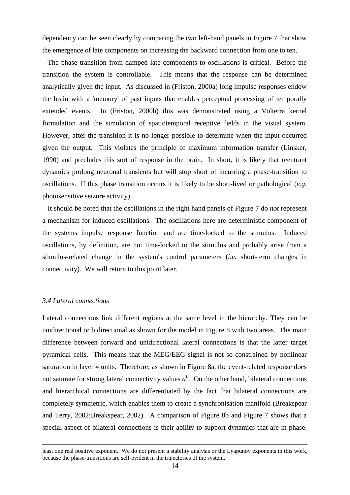dependency can be seen clearly by comparing the two left-hand panels in Figure 7 that show the emergence of late components on increasing the backward connection from one to ten.

 The phase transition from damped late components to oscillations is critical. Before the transition the system is controllable. This means that the response can be determined analytically given the input. As discussed in (Friston, 2000a) long impulse responses endow the brain with a 'memory' of past inputs that enables perceptual processing of temporally extended events. In (Friston, 2000b) this was demonstrated using a Volterra kernel formulation and the simulation of spatiotemporal receptive fields in the visual system. However, after the transition it is no longer possible to determine when the input occurred given the output. This violates the principle of maximum information transfer (Linsker, 1990) and precludes this sort of response in the brain. In short, it is likely that reentrant dynamics prolong neuronal transients but will stop short of incurring a phase-transition to oscillations. If this phase transition occurs it is likely to be short-lived or pathological (*e.g.* photosensitive seizure activity).

 It should be noted that the oscillations in the right hand panels of Figure 7 do *not* represent a mechanism for induced oscillations. The oscillations here are deterministic component of the systems impulse response function and are time-locked to the stimulus. Induced oscillations, by definition, are not time-locked to the stimulus and probably arise from a stimulus-related change in the system's control parameters (*i.e.* short-term changes in connectivity). We will return to this point later.

#### *3.4 Lateral connections*

Lateral connections link different regions at the same level in the hierarchy. They can be unidirectional or bidirectional as shown for the model in Figure 8 with two areas. The main difference between forward and unidirectional lateral connections is that the latter target pyramidal cells. This means that the MEG/EEG signal is not so constrained by nonlinear saturation in layer 4 units. Therefore, as shown in Figure 8a, the event-related response does not saturate for strong lateral connectivity values  $a^L$ . On the other hand, bilateral connections and hierarchical connections are differentiated by the fact that bilateral connections are completely symmetric, which enables them to create a synchronisation manifold (Breakspear and Terry, 2002;Breakspear, 2002). A comparison of Figure 8b and Figure 7 shows that a special aspect of bilateral connections is their ability to support dynamics that are in phase.

least one real positive exponent. We do not present a stability analysis or the Lyapunov exponents in this work, because the phase-transitions are self-evident in the trajectories of the system.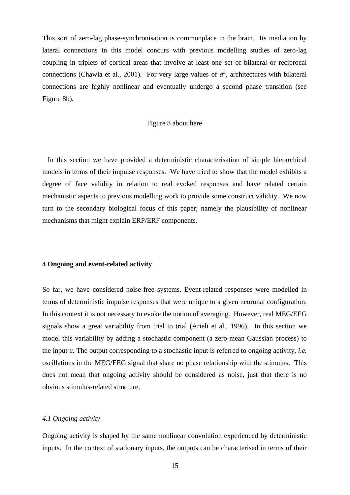This sort of zero-lag phase-synchronisation is commonplace in the brain. Its mediation by lateral connections in this model concurs with previous modelling studies of zero-lag coupling in triplets of cortical areas that involve at least one set of bilateral or reciprocal connections (Chawla et al., 2001). For very large values of  $a<sup>L</sup>$ , architectures with bilateral connections are highly nonlinear and eventually undergo a second phase transition (see Figure 8b).

#### Figure 8 about here

 In this section we have provided a deterministic characterisation of simple hierarchical models in terms of their impulse responses. We have tried to show that the model exhibits a degree of face validity in relation to real evoked responses and have related certain mechanistic aspects to previous modelling work to provide some construct validity. We now turn to the secondary biological focus of this paper; namely the plausibility of nonlinear mechanisms that might explain ERP/ERF components.

#### **4 Ongoing and event-related activity**

So far, we have considered noise-free systems. Event-related responses were modelled in terms of deterministic impulse responses that were unique to a given neuronal configuration. In this context it is not necessary to evoke the notion of averaging. However, real MEG/EEG signals show a great variability from trial to trial (Arieli et al., 1996). In this section we model this variability by adding a stochastic component (a zero-mean Gaussian process) to the input *u*. The output corresponding to a stochastic input is referred to ongoing activity, *i.e.* oscillations in the MEG/EEG signal that share no phase relationship with the stimulus. This does not mean that ongoing activity should be considered as noise, just that there is no obvious stimulus-related structure.

#### *4.1 Ongoing activity*

Ongoing activity is shaped by the same nonlinear convolution experienced by deterministic inputs. In the context of stationary inputs, the outputs can be characterised in terms of their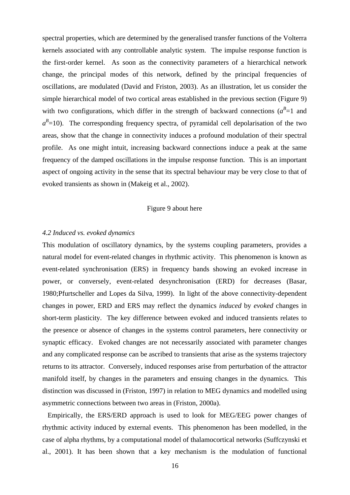spectral properties, which are determined by the generalised transfer functions of the Volterra kernels associated with any controllable analytic system. The impulse response function is the first-order kernel. As soon as the connectivity parameters of a hierarchical network change, the principal modes of this network, defined by the principal frequencies of oscillations, are modulated (David and Friston, 2003). As an illustration, let us consider the simple hierarchical model of two cortical areas established in the previous section (Figure 9) with two configurations, which differ in the strength of backward connections  $(a^B=1)$  and  $a^{B}=10$ ). The corresponding frequency spectra, of pyramidal cell depolarisation of the two areas, show that the change in connectivity induces a profound modulation of their spectral profile. As one might intuit, increasing backward connections induce a peak at the same frequency of the damped oscillations in the impulse response function. This is an important aspect of ongoing activity in the sense that its spectral behaviour may be very close to that of evoked transients as shown in (Makeig et al., 2002).

#### Figure 9 about here

#### *4.2 Induced vs. evoked dynamics*

This modulation of oscillatory dynamics, by the systems coupling parameters, provides a natural model for event-related changes in rhythmic activity. This phenomenon is known as event-related synchronisation (ERS) in frequency bands showing an evoked increase in power, or conversely, event-related desynchronisation (ERD) for decreases (Basar, 1980;Pfurtscheller and Lopes da Silva, 1999). In light of the above connectivity-dependent changes in power, ERD and ERS may reflect the dynamics *induced* by *evoked* changes in short-term plasticity. The key difference between evoked and induced transients relates to the presence or absence of changes in the systems control parameters, here connectivity or synaptic efficacy. Evoked changes are not necessarily associated with parameter changes and any complicated response can be ascribed to transients that arise as the systems trajectory returns to its attractor. Conversely, induced responses arise from perturbation of the attractor manifold itself, by changes in the parameters and ensuing changes in the dynamics. This distinction was discussed in (Friston, 1997) in relation to MEG dynamics and modelled using asymmetric connections between two areas in (Friston, 2000a).

 Empirically, the ERS/ERD approach is used to look for MEG/EEG power changes of rhythmic activity induced by external events. This phenomenon has been modelled, in the case of alpha rhythms, by a computational model of thalamocortical networks (Suffczynski et al., 2001). It has been shown that a key mechanism is the modulation of functional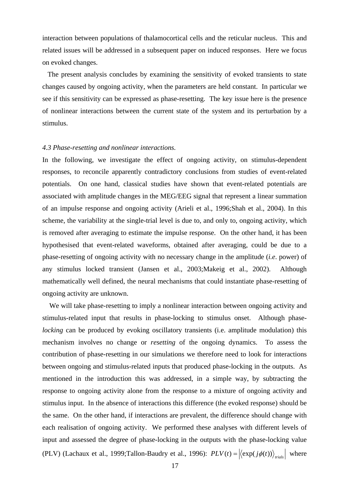interaction between populations of thalamocortical cells and the reticular nucleus. This and related issues will be addressed in a subsequent paper on induced responses. Here we focus on evoked changes.

 The present analysis concludes by examining the sensitivity of evoked transients to state changes caused by ongoing activity, when the parameters are held constant. In particular we see if this sensitivity can be expressed as phase-resetting. The key issue here is the presence of nonlinear interactions between the current state of the system and its perturbation by a stimulus.

#### *4.3 Phase-resetting and nonlinear interactions.*

In the following, we investigate the effect of ongoing activity, on stimulus-dependent responses, to reconcile apparently contradictory conclusions from studies of event-related potentials. On one hand, classical studies have shown that event-related potentials are associated with amplitude changes in the MEG/EEG signal that represent a linear summation of an impulse response and ongoing activity (Arieli et al., 1996;Shah et al., 2004). In this scheme, the variability at the single-trial level is due to, and only to, ongoing activity, which is removed after averaging to estimate the impulse response. On the other hand, it has been hypothesised that event-related waveforms, obtained after averaging, could be due to a phase-resetting of ongoing activity with no necessary change in the amplitude (*i.e*. power) of any stimulus locked transient (Jansen et al., 2003;Makeig et al., 2002). Although mathematically well defined, the neural mechanisms that could instantiate phase-resetting of ongoing activity are unknown.

We will take phase-resetting to imply a nonlinear interaction between ongoing activity and stimulus-related input that results in phase-locking to stimulus onset. Although phase*locking* can be produced by evoking oscillatory transients (i.e. amplitude modulation) this mechanism involves no change or *resetting* of the ongoing dynamics. To assess the contribution of phase-resetting in our simulations we therefore need to look for interactions between ongoing and stimulus-related inputs that produced phase-locking in the outputs. As mentioned in the introduction this was addressed, in a simple way, by subtracting the response to ongoing activity alone from the response to a mixture of ongoing activity and stimulus input. In the absence of interactions this difference (the evoked response) should be the same. On the other hand, if interactions are prevalent, the difference should change with each realisation of ongoing activity. We performed these analyses with different levels of input and assessed the degree of phase-locking in the outputs with the phase-locking value (PLV) (Lachaux et al., 1999; Tallon-Baudry et al., 1996):  $PLV(t) = |\langle \exp(j\phi(t)) \rangle_{\text{trials}}|$  where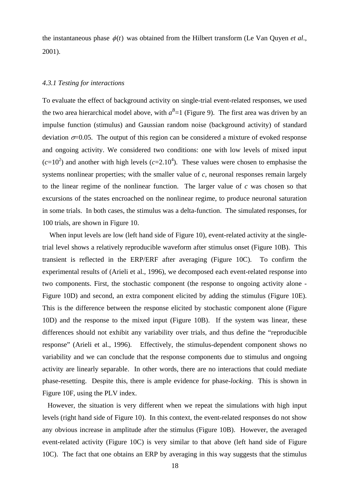the instantaneous phase  $\phi(t)$  was obtained from the Hilbert transform (Le Van Quyen *et al.*, 2001).

#### *4.3.1 Testing for interactions*

To evaluate the effect of background activity on single-trial event-related responses, we used the two area hierarchical model above, with  $a^B=1$  (Figure 9). The first area was driven by an impulse function (stimulus) and Gaussian random noise (background activity) of standard deviation  $\sigma$ =0.05. The output of this region can be considered a mixture of evoked response and ongoing activity. We considered two conditions: one with low levels of mixed input  $(c=10^2)$  and another with high levels  $(c=2.10^4)$ . These values were chosen to emphasise the systems nonlinear properties; with the smaller value of *c*, neuronal responses remain largely to the linear regime of the nonlinear function. The larger value of *c* was chosen so that excursions of the states encroached on the nonlinear regime, to produce neuronal saturation in some trials.In both cases, the stimulus was a delta-function. The simulated responses, for 100 trials, are shown in Figure 10.

When input levels are low (left hand side of Figure 10), event-related activity at the singletrial level shows a relatively reproducible waveform after stimulus onset (Figure 10B). This transient is reflected in the ERP/ERF after averaging (Figure 10C). To confirm the experimental results of (Arieli et al., 1996), we decomposed each event-related response into two components. First, the stochastic component (the response to ongoing activity alone - Figure 10D) and second, an extra component elicited by adding the stimulus (Figure 10E). This is the difference between the response elicited by stochastic component alone (Figure 10D) and the response to the mixed input (Figure 10B). If the system was linear, these differences should not exhibit any variability over trials, and thus define the "reproducible response" (Arieli et al., 1996). Effectively, the stimulus-dependent component shows no variability and we can conclude that the response components due to stimulus and ongoing activity are linearly separable. In other words, there are no interactions that could mediate phase-resetting. Despite this, there is ample evidence for phase-*locking*. This is shown in Figure 10F, using the PLV index.

 However, the situation is very different when we repeat the simulations with high input levels (right hand side of Figure 10). In this context, the event-related responses do not show any obvious increase in amplitude after the stimulus (Figure 10B). However, the averaged event-related activity (Figure 10C) is very similar to that above (left hand side of Figure 10C). The fact that one obtains an ERP by averaging in this way suggests that the stimulus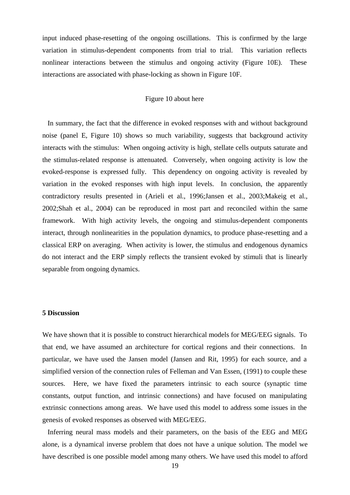input induced phase-resetting of the ongoing oscillations. This is confirmed by the large variation in stimulus-dependent components from trial to trial. This variation reflects nonlinear interactions between the stimulus and ongoing activity (Figure 10E). These interactions are associated with phase-locking as shown in Figure 10F.

#### Figure 10 about here

 In summary, the fact that the difference in evoked responses with and without background noise (panel E, Figure 10) shows so much variability, suggests that background activity interacts with the stimulus: When ongoing activity is high, stellate cells outputs saturate and the stimulus-related response is attenuated. Conversely, when ongoing activity is low the evoked-response is expressed fully. This dependency on ongoing activity is revealed by variation in the evoked responses with high input levels. In conclusion, the apparently contradictory results presented in (Arieli et al., 1996;Jansen et al., 2003;Makeig et al., 2002;Shah et al., 2004) can be reproduced in most part and reconciled within the same framework. With high activity levels, the ongoing and stimulus-dependent components interact, through nonlinearities in the population dynamics, to produce phase-resetting and a classical ERP on averaging. When activity is lower, the stimulus and endogenous dynamics do not interact and the ERP simply reflects the transient evoked by stimuli that is linearly separable from ongoing dynamics.

#### **5 Discussion**

We have shown that it is possible to construct hierarchical models for MEG/EEG signals. To that end, we have assumed an architecture for cortical regions and their connections. In particular, we have used the Jansen model (Jansen and Rit, 1995) for each source, and a simplified version of the connection rules of Felleman and Van Essen, (1991) to couple these sources. Here, we have fixed the parameters intrinsic to each source (synaptic time constants, output function, and intrinsic connections) and have focused on manipulating extrinsic connections among areas. We have used this model to address some issues in the genesis of evoked responses as observed with MEG/EEG.

 Inferring neural mass models and their parameters, on the basis of the EEG and MEG alone, is a dynamical inverse problem that does not have a unique solution. The model we have described is one possible model among many others. We have used this model to afford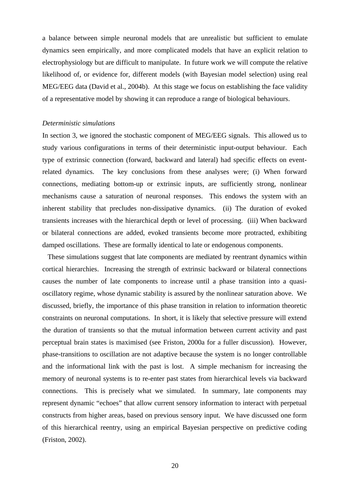a balance between simple neuronal models that are unrealistic but sufficient to emulate dynamics seen empirically, and more complicated models that have an explicit relation to electrophysiology but are difficult to manipulate. In future work we will compute the relative likelihood of, or evidence for, different models (with Bayesian model selection) using real MEG/EEG data (David et al., 2004b). At this stage we focus on establishing the face validity of a representative model by showing it can reproduce a range of biological behaviours.

#### *Deterministic simulations*

In section 3, we ignored the stochastic component of MEG/EEG signals. This allowed us to study various configurations in terms of their deterministic input-output behaviour. Each type of extrinsic connection (forward, backward and lateral) had specific effects on eventrelated dynamics. The key conclusions from these analyses were; (i) When forward connections, mediating bottom-up or extrinsic inputs, are sufficiently strong, nonlinear mechanisms cause a saturation of neuronal responses. This endows the system with an inherent stability that precludes non-dissipative dynamics. (ii) The duration of evoked transients increases with the hierarchical depth or level of processing. (iii) When backward or bilateral connections are added, evoked transients become more protracted, exhibiting damped oscillations. These are formally identical to late or endogenous components.

 These simulations suggest that late components are mediated by reentrant dynamics within cortical hierarchies. Increasing the strength of extrinsic backward or bilateral connections causes the number of late components to increase until a phase transition into a quasioscillatory regime, whose dynamic stability is assured by the nonlinear saturation above. We discussed, briefly, the importance of this phase transition in relation to information theoretic constraints on neuronal computations. In short, it is likely that selective pressure will extend the duration of transients so that the mutual information between current activity and past perceptual brain states is maximised (see Friston, 2000a for a fuller discussion). However, phase-transitions to oscillation are not adaptive because the system is no longer controllable and the informational link with the past is lost. A simple mechanism for increasing the memory of neuronal systems is to re-enter past states from hierarchical levels via backward connections. This is precisely what we simulated. In summary, late components may represent dynamic "echoes" that allow current sensory information to interact with perpetual constructs from higher areas, based on previous sensory input. We have discussed one form of this hierarchical reentry, using an empirical Bayesian perspective on predictive coding (Friston, 2002).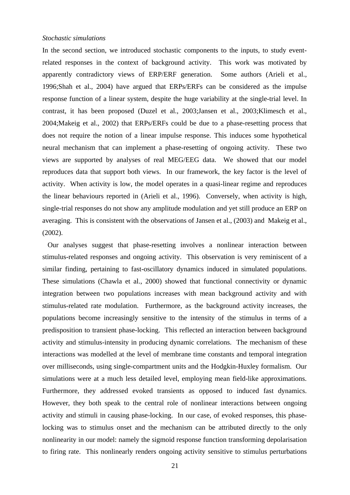#### *Stochastic simulations*

In the second section, we introduced stochastic components to the inputs, to study eventrelated responses in the context of background activity. This work was motivated by apparently contradictory views of ERP/ERF generation. Some authors (Arieli et al., 1996;Shah et al., 2004) have argued that ERPs/ERFs can be considered as the impulse response function of a linear system, despite the huge variability at the single-trial level. In contrast, it has been proposed (Duzel et al., 2003;Jansen et al., 2003;Klimesch et al., 2004;Makeig et al., 2002) that ERPs/ERFs could be due to a phase-resetting process that does not require the notion of a linear impulse response. This induces some hypothetical neural mechanism that can implement a phase-resetting of ongoing activity. These two views are supported by analyses of real MEG/EEG data. We showed that our model reproduces data that support both views. In our framework, the key factor is the level of activity. When activity is low, the model operates in a quasi-linear regime and reproduces the linear behaviours reported in (Arieli et al., 1996). Conversely, when activity is high, single-trial responses do not show any amplitude modulation and yet still produce an ERP on averaging. This is consistent with the observations of Jansen et al., (2003) and Makeig et al., (2002).

 Our analyses suggest that phase-resetting involves a nonlinear interaction between stimulus-related responses and ongoing activity. This observation is very reminiscent of a similar finding, pertaining to fast-oscillatory dynamics induced in simulated populations. These simulations (Chawla et al., 2000) showed that functional connectivity or dynamic integration between two populations increases with mean background activity and with stimulus-related rate modulation. Furthermore, as the background activity increases, the populations become increasingly sensitive to the intensity of the stimulus in terms of a predisposition to transient phase-locking. This reflected an interaction between background activity and stimulus-intensity in producing dynamic correlations. The mechanism of these interactions was modelled at the level of membrane time constants and temporal integration over milliseconds, using single-compartment units and the Hodgkin-Huxley formalism. Our simulations were at a much less detailed level, employing mean field-like approximations. Furthermore, they addressed evoked transients as opposed to induced fast dynamics. However, they both speak to the central role of nonlinear interactions between ongoing activity and stimuli in causing phase-locking. In our case, of evoked responses, this phaselocking was to stimulus onset and the mechanism can be attributed directly to the only nonlinearity in our model: namely the sigmoid response function transforming depolarisation to firing rate. This nonlinearly renders ongoing activity sensitive to stimulus perturbations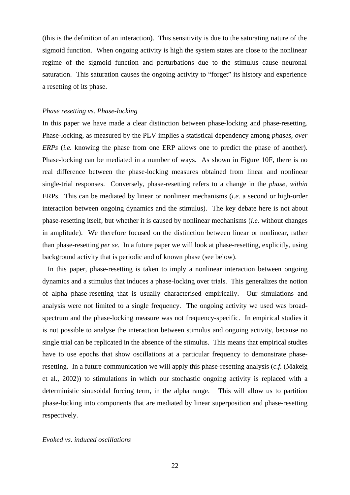(this is the definition of an interaction). This sensitivity is due to the saturating nature of the sigmoid function. When ongoing activity is high the system states are close to the nonlinear regime of the sigmoid function and perturbations due to the stimulus cause neuronal saturation. This saturation causes the ongoing activity to "forget" its history and experience a resetting of its phase.

#### *Phase resetting vs. Phase-locking*

In this paper we have made a clear distinction between phase-locking and phase-resetting. Phase-locking, as measured by the PLV implies a statistical dependency among *phases, over ERPs* (*i.e.* knowing the phase from one ERP allows one to predict the phase of another). Phase-locking can be mediated in a number of ways. As shown in Figure 10F, there is no real difference between the phase-locking measures obtained from linear and nonlinear single-trial responses. Conversely, phase-resetting refers to a change in the *phase, within*  ERPs. This can be mediated by linear or nonlinear mechanisms (*i.e.* a second or high-order interaction between ongoing dynamics and the stimulus). The key debate here is not about phase-resetting itself, but whether it is caused by nonlinear mechanisms (*i.e.* without changes in amplitude). We therefore focused on the distinction between linear or nonlinear, rather than phase-resetting *per se*. In a future paper we will look at phase-resetting, explicitly, using background activity that is periodic and of known phase (see below).

 In this paper, phase-resetting is taken to imply a nonlinear interaction between ongoing dynamics and a stimulus that induces a phase-locking over trials. This generalizes the notion of alpha phase-resetting that is usually characterised empirically. Our simulations and analysis were not limited to a single frequency. The ongoing activity we used was broadspectrum and the phase-locking measure was not frequency-specific. In empirical studies it is not possible to analyse the interaction between stimulus and ongoing activity, because no single trial can be replicated in the absence of the stimulus. This means that empirical studies have to use epochs that show oscillations at a particular frequency to demonstrate phaseresetting. In a future communication we will apply this phase-resetting analysis (*c.f.* (Makeig et al., 2002)) to stimulations in which our stochastic ongoing activity is replaced with a deterministic sinusoidal forcing term, in the alpha range. This will allow us to partition phase-locking into components that are mediated by linear superposition and phase-resetting respectively.

#### *Evoked vs. induced oscillations*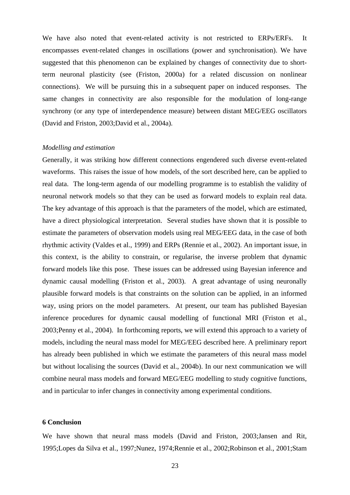We have also noted that event-related activity is not restricted to ERPs/ERFs. It encompasses event-related changes in oscillations (power and synchronisation). We have suggested that this phenomenon can be explained by changes of connectivity due to shortterm neuronal plasticity (see (Friston, 2000a) for a related discussion on nonlinear connections). We will be pursuing this in a subsequent paper on induced responses. The same changes in connectivity are also responsible for the modulation of long-range synchrony (or any type of interdependence measure) between distant MEG/EEG oscillators (David and Friston, 2003;David et al., 2004a).

#### *Modelling and estimation*

Generally, it was striking how different connections engendered such diverse event-related waveforms. This raises the issue of how models, of the sort described here, can be applied to real data. The long-term agenda of our modelling programme is to establish the validity of neuronal network models so that they can be used as forward models to explain real data. The key advantage of this approach is that the parameters of the model, which are estimated, have a direct physiological interpretation. Several studies have shown that it is possible to estimate the parameters of observation models using real MEG/EEG data, in the case of both rhythmic activity (Valdes et al., 1999) and ERPs (Rennie et al., 2002). An important issue, in this context, is the ability to constrain, or regularise, the inverse problem that dynamic forward models like this pose. These issues can be addressed using Bayesian inference and dynamic causal modelling (Friston et al., 2003). A great advantage of using neuronally plausible forward models is that constraints on the solution can be applied, in an informed way, using priors on the model parameters. At present, our team has published Bayesian inference procedures for dynamic causal modelling of functional MRI (Friston et al., 2003;Penny et al., 2004). In forthcoming reports, we will extend this approach to a variety of models, including the neural mass model for MEG/EEG described here. A preliminary report has already been published in which we estimate the parameters of this neural mass model but without localising the sources (David et al., 2004b). In our next communication we will combine neural mass models and forward MEG/EEG modelling to study cognitive functions, and in particular to infer changes in connectivity among experimental conditions.

#### **6 Conclusion**

We have shown that neural mass models (David and Friston, 2003;Jansen and Rit, 1995;Lopes da Silva et al., 1997;Nunez, 1974;Rennie et al., 2002;Robinson et al., 2001;Stam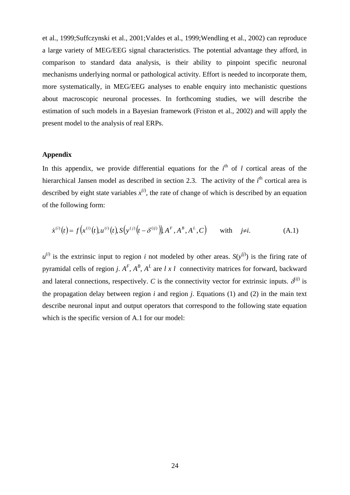et al., 1999;Suffczynski et al., 2001;Valdes et al., 1999;Wendling et al., 2002) can reproduce a large variety of MEG/EEG signal characteristics. The potential advantage they afford, in comparison to standard data analysis, is their ability to pinpoint specific neuronal mechanisms underlying normal or pathological activity. Effort is needed to incorporate them, more systematically, in MEG/EEG analyses to enable enquiry into mechanistic questions about macroscopic neuronal processes. In forthcoming studies, we will describe the estimation of such models in a Bayesian framework (Friston et al., 2002) and will apply the present model to the analysis of real ERPs.

#### **Appendix**

In this appendix, we provide differential equations for the  $i<sup>th</sup>$  of *l* cortical areas of the hierarchical Jansen model as described in section 2.3. The activity of the  $i<sup>th</sup>$  cortical area is described by eight state variables  $x^{(i)}$ , the rate of change of which is described by an equation of the following form:

$$
\dot{x}^{(i)}(t) = f(x^{(i)}(t), u^{(i)}(t), S(y^{(j)}(t - \delta^{(i)}))), A^F, A^B, A^L, C)
$$
 with  $j \neq i$ . (A.1)

 $u^{(i)}$  is the extrinsic input to region *i* not modeled by other areas. *S*(*y*<sup>(*j*)</sup>) is the firing rate of pyramidal cells of region *j*.  $A^F$ ,  $A^B$ ,  $A^L$  are *l x l* connectivity matrices for forward, backward and lateral connections, respectively. *C* is the connectivity vector for extrinsic inputs.  $\delta^{(i)}$  is the propagation delay between region *i* and region *j*. Equations (1) and (2) in the main text describe neuronal input and output operators that correspond to the following state equation which is the specific version of A.1 for our model: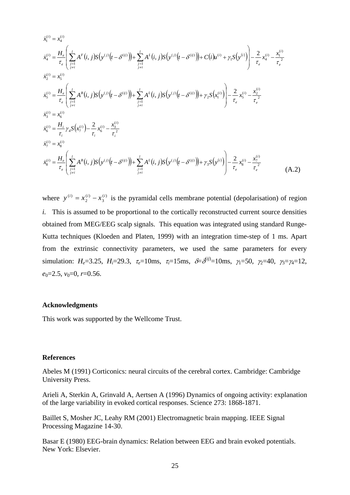$$
\dot{x}_{i}^{(i)} = x_{4}^{(i)}
$$
\n
$$
\dot{x}_{4}^{(i)} = \frac{H_{e}}{\tau_{e}} \left( \sum_{\substack{j=1 \ j \neq i}}^{l} A^{F}(i, j) S(y^{(j)}(t - \delta^{(ij)})) + \sum_{\substack{j=1 \ j \neq i}}^{l} A^{L}(i, j) S(y^{(j)}(t - \delta^{(ij)})) + C(i) u^{(i)} + \gamma_{1} S(y^{(i)}) \right) - \frac{2}{\tau_{e}} x_{4}^{(i)} - \frac{x_{1}^{(i)}}{\tau_{e}^{2}}
$$
\n
$$
\dot{x}_{2}^{(i)} = x_{5}^{(i)}
$$
\n
$$
\dot{x}_{5}^{(i)} = \frac{H_{e}}{\tau_{e}} \left( \sum_{\substack{j=1 \ j \neq i}}^{l} A^{B}(i, j) S(y^{(j)}(t - \delta^{(ij)})) + \sum_{\substack{j=1 \ j \neq i}}^{l} A^{L}(i, j) S(y^{(j)}(t - \delta^{(ij)})) + \gamma_{2} S(x_{1}^{(i)}) \right) - \frac{2}{\tau_{e}} x_{5}^{(i)} - \frac{x_{2}^{(i)}}{\tau_{e}^{2}}
$$
\n
$$
\dot{x}_{5}^{(i)} = x_{6}^{(i)}
$$
\n
$$
\dot{x}_{6}^{(i)} = \frac{H_{e}}{\tau_{i}} \gamma_{4} S(x_{7}^{(i)}) - \frac{2}{\tau_{i}} x_{6}^{(i)} - \frac{x_{3}^{(i)}}{\tau_{i}^{2}}
$$
\n
$$
\dot{x}_{7}^{(i)} = x_{8}^{(i)}
$$
\n
$$
\dot{x}_{8}^{(i)} = \frac{H_{e}}{\tau_{e}} \left( \sum_{\substack{j=1 \ j \neq i}}^{l} A^{B}(i, j) S(y^{(j)}(t - \delta^{(ij)})) + \sum_{\substack{j=1 \ j \neq i}}^{l} A^{L}(i, j) S(y^{(j)}(t - \delta^{(ij)})) + \gamma_{3} S(y^{(i)}) \right) - \frac{2}{\tau_{e}} x_{8}^{(i)} - \frac{x_{7}^{(i)}}{\tau_{e}^{2}}
$$
\n(A.2)

where  $y^{(i)} = x_2^{(i)} - x_3^{(i)}$  $(i)$  $y^{(i)} = x_2^{(i)} - x_3^{(i)}$  is the pyramidal cells membrane potential (depolarisation) of region *i.* This is assumed to be proportional to the cortically reconstructed current source densities obtained from MEG/EEG scalp signals. This equation was integrated using standard Runge-Kutta techniques (Kloeden and Platen, 1999) with an integration time-step of 1 ms. Apart from the extrinsic connectivity parameters, we used the same parameters for every simulation:  $H_e=3.25$ ,  $H_i=29.3$ ,  $\tau_e=10$ ms,  $\tau_i=15$ ms,  $\delta=\delta^{(ij)}=10$ ms,  $\gamma_1=50$ ,  $\gamma_2=40$ ,  $\gamma_3=\gamma_4=12$ , *e*<sub>0</sub>=2.5, *v*<sub>0</sub>=0, *r*=0.56.

#### **Acknowledgments**

This work was supported by the Wellcome Trust.

#### **References**

Abeles M (1991) Corticonics: neural circuits of the cerebral cortex. Cambridge: Cambridge University Press.

Arieli A, Sterkin A, Grinvald A, Aertsen A (1996) Dynamics of ongoing activity: explanation of the large variability in evoked cortical responses. Science 273: 1868-1871.

Baillet S, Mosher JC, Leahy RM (2001) Electromagnetic brain mapping. IEEE Signal Processing Magazine 14-30.

Basar E (1980) EEG-brain dynamics: Relation between EEG and brain evoked potentials. New York: Elsevier.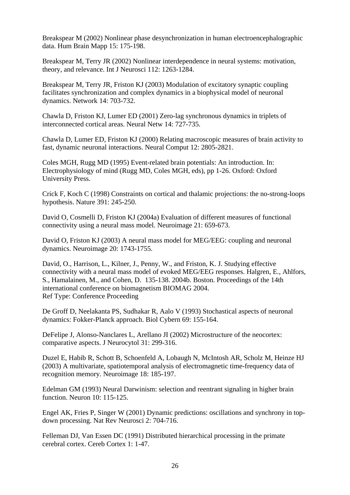Breakspear M (2002) Nonlinear phase desynchronization in human electroencephalographic data. Hum Brain Mapp 15: 175-198.

Breakspear M, Terry JR (2002) Nonlinear interdependence in neural systems: motivation, theory, and relevance. Int J Neurosci 112: 1263-1284.

Breakspear M, Terry JR, Friston KJ (2003) Modulation of excitatory synaptic coupling facilitates synchronization and complex dynamics in a biophysical model of neuronal dynamics. Network 14: 703-732.

Chawla D, Friston KJ, Lumer ED (2001) Zero-lag synchronous dynamics in triplets of interconnected cortical areas. Neural Netw 14: 727-735.

Chawla D, Lumer ED, Friston KJ (2000) Relating macroscopic measures of brain activity to fast, dynamic neuronal interactions. Neural Comput 12: 2805-2821.

Coles MGH, Rugg MD (1995) Event-related brain potentials: An introduction. In: Electrophysiology of mind (Rugg MD, Coles MGH, eds), pp 1-26. Oxford: Oxford University Press.

Crick F, Koch C (1998) Constraints on cortical and thalamic projections: the no-strong-loops hypothesis. Nature 391: 245-250.

David O, Cosmelli D, Friston KJ (2004a) Evaluation of different measures of functional connectivity using a neural mass model. Neuroimage 21: 659-673.

David O, Friston KJ (2003) A neural mass model for MEG/EEG: coupling and neuronal dynamics. Neuroimage 20: 1743-1755.

David, O., Harrison, L., Kilner, J., Penny, W., and Friston, K. J. Studying effective connectivity with a neural mass model of evoked MEG/EEG responses. Halgren, E., Ahlfors, S., Hamalainen, M., and Cohen, D. 135-138. 2004b. Boston. Proceedings of the 14th international conference on biomagnetism BIOMAG 2004. Ref Type: Conference Proceeding

De Groff D, Neelakanta PS, Sudhakar R, Aalo V (1993) Stochastical aspects of neuronal dynamics: Fokker-Planck approach. Biol Cybern 69: 155-164.

DeFelipe J, Alonso-Nanclares L, Arellano JI (2002) Microstructure of the neocortex: comparative aspects. J Neurocytol 31: 299-316.

Duzel E, Habib R, Schott B, Schoenfeld A, Lobaugh N, McIntosh AR, Scholz M, Heinze HJ (2003) A multivariate, spatiotemporal analysis of electromagnetic time-frequency data of recognition memory. Neuroimage 18: 185-197.

Edelman GM (1993) Neural Darwinism: selection and reentrant signaling in higher brain function. Neuron 10: 115-125.

Engel AK, Fries P, Singer W (2001) Dynamic predictions: oscillations and synchrony in topdown processing. Nat Rev Neurosci 2: 704-716.

Felleman DJ, Van Essen DC (1991) Distributed hierarchical processing in the primate cerebral cortex. Cereb Cortex 1: 1-47.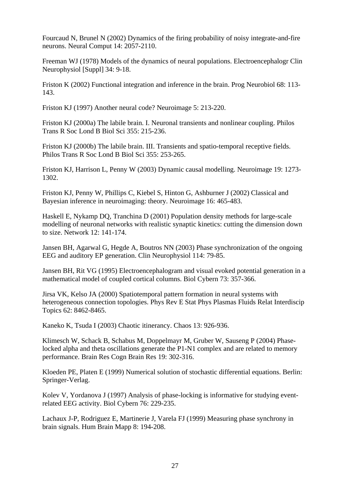Fourcaud N, Brunel N (2002) Dynamics of the firing probability of noisy integrate-and-fire neurons. Neural Comput 14: 2057-2110.

Freeman WJ (1978) Models of the dynamics of neural populations. Electroencephalogr Clin Neurophysiol [Suppl] 34: 9-18.

Friston K (2002) Functional integration and inference in the brain. Prog Neurobiol 68: 113- 143.

Friston KJ (1997) Another neural code? Neuroimage 5: 213-220.

Friston KJ (2000a) The labile brain. I. Neuronal transients and nonlinear coupling. Philos Trans R Soc Lond B Biol Sci 355: 215-236.

Friston KJ (2000b) The labile brain. III. Transients and spatio-temporal receptive fields. Philos Trans R Soc Lond B Biol Sci 355: 253-265.

Friston KJ, Harrison L, Penny W (2003) Dynamic causal modelling. Neuroimage 19: 1273- 1302.

Friston KJ, Penny W, Phillips C, Kiebel S, Hinton G, Ashburner J (2002) Classical and Bayesian inference in neuroimaging: theory. Neuroimage 16: 465-483.

Haskell E, Nykamp DQ, Tranchina D (2001) Population density methods for large-scale modelling of neuronal networks with realistic synaptic kinetics: cutting the dimension down to size. Network 12: 141-174.

Jansen BH, Agarwal G, Hegde A, Boutros NN (2003) Phase synchronization of the ongoing EEG and auditory EP generation. Clin Neurophysiol 114: 79-85.

Jansen BH, Rit VG (1995) Electroencephalogram and visual evoked potential generation in a mathematical model of coupled cortical columns. Biol Cybern 73: 357-366.

Jirsa VK, Kelso JA (2000) Spatiotemporal pattern formation in neural systems with heterogeneous connection topologies. Phys Rev E Stat Phys Plasmas Fluids Relat Interdiscip Topics 62: 8462-8465.

Kaneko K, Tsuda I (2003) Chaotic itinerancy. Chaos 13: 926-936.

Klimesch W, Schack B, Schabus M, Doppelmayr M, Gruber W, Sauseng P (2004) Phaselocked alpha and theta oscillations generate the P1-N1 complex and are related to memory performance. Brain Res Cogn Brain Res 19: 302-316.

Kloeden PE, Platen E (1999) Numerical solution of stochastic differential equations. Berlin: Springer-Verlag.

Kolev V, Yordanova J (1997) Analysis of phase-locking is informative for studying eventrelated EEG activity. Biol Cybern 76: 229-235.

Lachaux J-P, Rodriguez E, Martinerie J, Varela FJ (1999) Measuring phase synchrony in brain signals. Hum Brain Mapp 8: 194-208.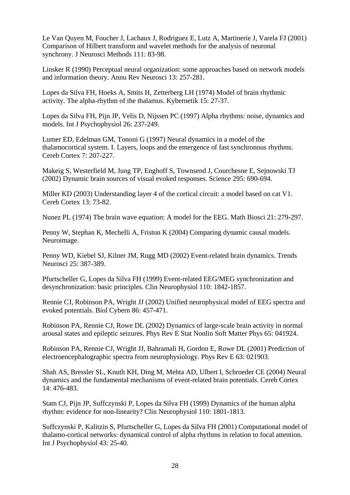Le Van Quyen M, Foucher J, Lachaux J, Rodriguez E, Lutz A, Martinerie J, Varela FJ (2001) Comparison of Hilbert transform and wavelet methods for the analysis of neuronal synchrony. J Neurosci Methods 111: 83-98.

Linsker R (1990) Perceptual neural organization: some approaches based on network models and information theory. Annu Rev Neurosci 13: 257-281.

Lopes da Silva FH, Hoeks A, Smits H, Zetterberg LH (1974) Model of brain rhythmic activity. The alpha-rhythm of the thalamus. Kybernetik 15: 27-37.

Lopes da Silva FH, Pijn JP, Velis D, Nijssen PC (1997) Alpha rhythms: noise, dynamics and models. Int J Psychophysiol 26: 237-249.

Lumer ED, Edelman GM, Tononi G (1997) Neural dynamics in a model of the thalamocortical system. I. Layers, loops and the emergence of fast synchronous rhythms. Cereb Cortex 7: 207-227.

Makeig S, Westerfield M, Jung TP, Enghoff S, Townsend J, Courchesne E, Sejnowski TJ (2002) Dynamic brain sources of visual evoked responses. Science 295: 690-694.

Miller KD (2003) Understanding layer 4 of the cortical circuit: a model based on cat V1. Cereb Cortex 13: 73-82.

Nunez PL (1974) The brain wave equation: A model for the EEG. Math Biosci 21: 279-297.

Penny W, Stephan K, Mechelli A, Friston K (2004) Comparing dynamic causal models. Neuroimage.

Penny WD, Kiebel SJ, Kilner JM, Rugg MD (2002) Event-related brain dynamics. Trends Neurosci 25: 387-389.

Pfurtscheller G, Lopes da Silva FH (1999) Event-related EEG/MEG synchronization and desynchronization: basic principles. Clin Neurophysiol 110: 1842-1857.

Rennie CJ, Robinson PA, Wright JJ (2002) Unified neurophysical model of EEG spectra and evoked potentials. Biol Cybern 86: 457-471.

Robinson PA, Rennie CJ, Rowe DL (2002) Dynamics of large-scale brain activity in normal arousal states and epileptic seizures. Phys Rev E Stat Nonlin Soft Matter Phys 65: 041924.

Robinson PA, Rennie CJ, Wright JJ, Bahramali H, Gordon E, Rowe DL (2001) Prediction of electroencephalographic spectra from neurophysiology. Phys Rev E 63: 021903.

Shah AS, Bressler SL, Knuth KH, Ding M, Mehta AD, Ulbert I, Schroeder CE (2004) Neural dynamics and the fundamental mechanisms of event-related brain potentials. Cereb Cortex 14: 476-483.

Stam CJ, Pijn JP, Suffczynski P, Lopes da Silva FH (1999) Dynamics of the human alpha rhythm: evidence for non-linearity? Clin Neurophysiol 110: 1801-1813.

Suffczynski P, Kalitzin S, Pfurtscheller G, Lopes da Silva FH (2001) Computational model of thalamo-cortical networks: dynamical control of alpha rhythms in relation to focal attention. Int J Psychophysiol 43: 25-40.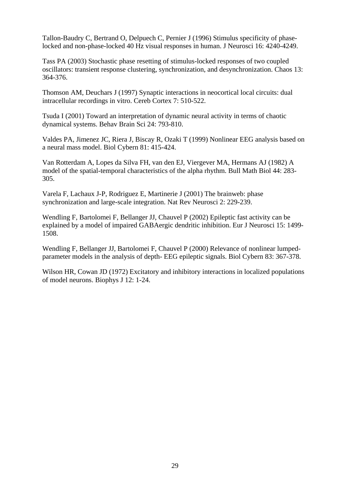Tallon-Baudry C, Bertrand O, Delpuech C, Pernier J (1996) Stimulus specificity of phaselocked and non-phase-locked 40 Hz visual responses in human. J Neurosci 16: 4240-4249.

Tass PA (2003) Stochastic phase resetting of stimulus-locked responses of two coupled oscillators: transient response clustering, synchronization, and desynchronization. Chaos 13: 364-376.

Thomson AM, Deuchars J (1997) Synaptic interactions in neocortical local circuits: dual intracellular recordings in vitro. Cereb Cortex 7: 510-522.

Tsuda I (2001) Toward an interpretation of dynamic neural activity in terms of chaotic dynamical systems. Behav Brain Sci 24: 793-810.

Valdes PA, Jimenez JC, Riera J, Biscay R, Ozaki T (1999) Nonlinear EEG analysis based on a neural mass model. Biol Cybern 81: 415-424.

Van Rotterdam A, Lopes da Silva FH, van den EJ, Viergever MA, Hermans AJ (1982) A model of the spatial-temporal characteristics of the alpha rhythm. Bull Math Biol 44: 283- 305.

Varela F, Lachaux J-P, Rodriguez E, Martinerie J (2001) The brainweb: phase synchronization and large-scale integration. Nat Rev Neurosci 2: 229-239.

Wendling F, Bartolomei F, Bellanger JJ, Chauvel P (2002) Epileptic fast activity can be explained by a model of impaired GABAergic dendritic inhibition. Eur J Neurosci 15: 1499- 1508.

Wendling F, Bellanger JJ, Bartolomei F, Chauvel P (2000) Relevance of nonlinear lumpedparameter models in the analysis of depth- EEG epileptic signals. Biol Cybern 83: 367-378.

Wilson HR, Cowan JD (1972) Excitatory and inhibitory interactions in localized populations of model neurons. Biophys J 12: 1-24.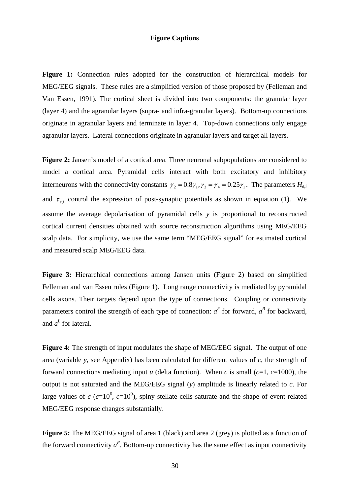#### **Figure Captions**

**Figure 1:** Connection rules adopted for the construction of hierarchical models for MEG/EEG signals. These rules are a simplified version of those proposed by (Felleman and Van Essen, 1991). The cortical sheet is divided into two components: the granular layer (layer 4) and the agranular layers (supra- and infra-granular layers). Bottom-up connections originate in agranular layers and terminate in layer 4. Top-down connections only engage agranular layers. Lateral connections originate in agranular layers and target all layers.

**Figure 2:** Jansen's model of a cortical area. Three neuronal subpopulations are considered to model a cortical area. Pyramidal cells interact with both excitatory and inhibitory interneurons with the connectivity constants  $\gamma_2 = 0.8 \gamma_1, \gamma_3 = \gamma_4 = 0.25 \gamma_1$ . The parameters  $H_{e,i}$ and  $\tau_{e,i}$  control the expression of post-synaptic potentials as shown in equation (1). We assume the average depolarisation of pyramidal cells *y* is proportional to reconstructed cortical current densities obtained with source reconstruction algorithms using MEG/EEG scalp data. For simplicity, we use the same term "MEG/EEG signal" for estimated cortical and measured scalp MEG/EEG data.

**Figure 3:** Hierarchical connections among Jansen units (Figure 2) based on simplified Felleman and van Essen rules (Figure 1). Long range connectivity is mediated by pyramidal cells axons. Their targets depend upon the type of connections. Coupling or connectivity parameters control the strength of each type of connection:  $a^F$  for forward,  $a^B$  for backward, and  $a<sup>L</sup>$  for lateral.

**Figure 4:** The strength of input modulates the shape of MEG/EEG signal. The output of one area (variable *y*, see Appendix) has been calculated for different values of *c*, the strength of forward connections mediating input *u* (delta function). When *c* is small ( $c=1$ ,  $c=1000$ ), the output is not saturated and the MEG/EEG signal (*y*) amplitude is linearly related to *c*. For large values of  $c$  ( $c=10^6$ ,  $c=10^9$ ), spiny stellate cells saturate and the shape of event-related MEG/EEG response changes substantially.

**Figure 5:** The MEG/EEG signal of area 1 (black) and area 2 (grey) is plotted as a function of the forward connectivity  $a^F$ . Bottom-up connectivity has the same effect as input connectivity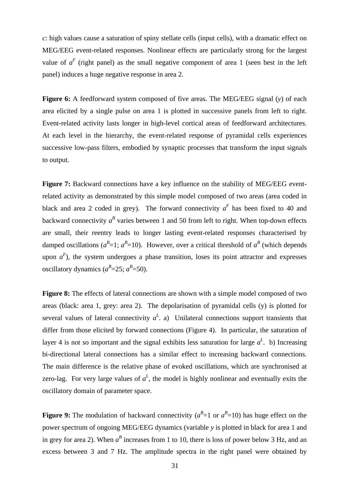*c*: high values cause a saturation of spiny stellate cells (input cells), with a dramatic effect on MEG/EEG event-related responses. Nonlinear effects are particularly strong for the largest value of  $a<sup>F</sup>$  (right panel) as the small negative component of area 1 (seen best in the left panel) induces a huge negative response in area 2.

**Figure 6:** A feedforward system composed of five areas. The MEG/EEG signal (*y*) of each area elicited by a single pulse on area 1 is plotted in successive panels from left to right. Event-related activity lasts longer in high-level cortical areas of feedforward architectures. At each level in the hierarchy, the event-related response of pyramidal cells experiences successive low-pass filters, embodied by synaptic processes that transform the input signals to output.

**Figure 7:** Backward connections have a key influence on the stability of MEG/EEG eventrelated activity as demonstrated by this simple model composed of two areas (area coded in black and area 2 coded in grey). The forward connectivity  $a<sup>F</sup>$  has been fixed to 40 and backward connectivity  $a^B$  varies between 1 and 50 from left to right. When top-down effects are small, their reentry leads to longer lasting event-related responses characterised by damped oscillations ( $a^B$ =1;  $a^B$ =10). However, over a critical threshold of  $a^B$  (which depends upon  $a^F$ ), the system undergoes a phase transition, loses its point attractor and expresses oscillatory dynamics  $(a^B = 25; a^B = 50)$ .

**Figure 8:** The effects of lateral connections are shown with a simple model composed of two areas (black: area 1, grey: area 2). The depolarisation of pyramidal cells (y) is plotted for several values of lateral connectivity  $a^L$ . a) Unilateral connections support transients that differ from those elicited by forward connections (Figure 4). In particular, the saturation of layer 4 is not so important and the signal exhibits less saturation for large  $a^L$ . b) Increasing bi-directional lateral connections has a similar effect to increasing backward connections. The main difference is the relative phase of evoked oscillations, which are synchronised at zero-lag. For very large values of  $a<sup>L</sup>$ , the model is highly nonlinear and eventually exits the oscillatory domain of parameter space.

**Figure 9:** The modulation of backward connectivity  $(a^B=1 \text{ or } a^B=10)$  has huge effect on the power spectrum of ongoing MEG/EEG dynamics (variable *y* is plotted in black for area 1 and in grey for area 2). When  $a^B$  increases from 1 to 10, there is loss of power below 3 Hz, and an excess between 3 and 7 Hz. The amplitude spectra in the right panel were obtained by